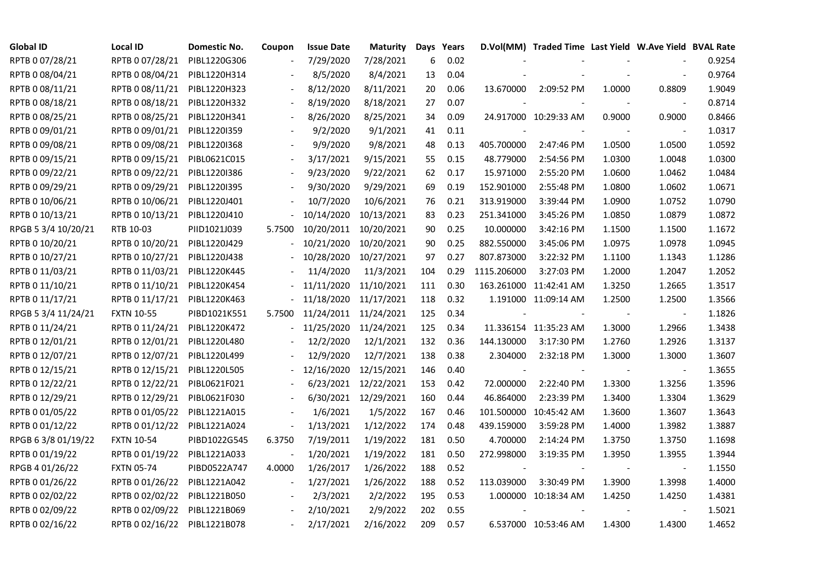| <b>Global ID</b>    | <b>Local ID</b>   | Domestic No. | Coupon                   | <b>Issue Date</b> | <b>Maturity</b>      |     | Days Years |             | D.Vol(MM) Traded Time Last Yield W.Ave Yield BVAL Rate |        |                |        |
|---------------------|-------------------|--------------|--------------------------|-------------------|----------------------|-----|------------|-------------|--------------------------------------------------------|--------|----------------|--------|
| RPTB 0 07/28/21     | RPTB 0 07/28/21   | PIBL1220G306 |                          | 7/29/2020         | 7/28/2021            | 6   | 0.02       |             |                                                        |        |                | 0.9254 |
| RPTB 0 08/04/21     | RPTB 0 08/04/21   | PIBL1220H314 |                          | 8/5/2020          | 8/4/2021             | 13  | 0.04       |             |                                                        |        |                | 0.9764 |
| RPTB 0 08/11/21     | RPTB 0 08/11/21   | PIBL1220H323 | $\blacksquare$           | 8/12/2020         | 8/11/2021            | 20  | 0.06       | 13.670000   | 2:09:52 PM                                             | 1.0000 | 0.8809         | 1.9049 |
| RPTB 0 08/18/21     | RPTB 0 08/18/21   | PIBL1220H332 | $\overline{\phantom{a}}$ | 8/19/2020         | 8/18/2021            | 27  | 0.07       |             |                                                        |        |                | 0.8714 |
| RPTB 0 08/25/21     | RPTB 0 08/25/21   | PIBL1220H341 |                          | 8/26/2020         | 8/25/2021            | 34  | 0.09       |             | 24.917000 10:29:33 AM                                  | 0.9000 | 0.9000         | 0.8466 |
| RPTB 0 09/01/21     | RPTB 0 09/01/21   | PIBL1220I359 |                          | 9/2/2020          | 9/1/2021             | 41  | 0.11       |             |                                                        |        |                | 1.0317 |
| RPTB 0 09/08/21     | RPTB 0 09/08/21   | PIBL1220I368 |                          | 9/9/2020          | 9/8/2021             | 48  | 0.13       | 405.700000  | 2:47:46 PM                                             | 1.0500 | 1.0500         | 1.0592 |
| RPTB 0 09/15/21     | RPTB 0 09/15/21   | PIBL0621C015 |                          | 3/17/2021         | 9/15/2021            | 55  | 0.15       | 48.779000   | 2:54:56 PM                                             | 1.0300 | 1.0048         | 1.0300 |
| RPTB 0 09/22/21     | RPTB 0 09/22/21   | PIBL1220I386 |                          | 9/23/2020         | 9/22/2021            | 62  | 0.17       | 15.971000   | 2:55:20 PM                                             | 1.0600 | 1.0462         | 1.0484 |
| RPTB 0 09/29/21     | RPTB 0 09/29/21   | PIBL1220I395 | $\overline{\phantom{a}}$ | 9/30/2020         | 9/29/2021            | 69  | 0.19       | 152.901000  | 2:55:48 PM                                             | 1.0800 | 1.0602         | 1.0671 |
| RPTB 0 10/06/21     | RPTB 0 10/06/21   | PIBL1220J401 |                          | 10/7/2020         | 10/6/2021            | 76  | 0.21       | 313.919000  | 3:39:44 PM                                             | 1.0900 | 1.0752         | 1.0790 |
| RPTB 0 10/13/21     | RPTB 0 10/13/21   | PIBL1220J410 |                          | 10/14/2020        | 10/13/2021           | 83  | 0.23       | 251.341000  | 3:45:26 PM                                             | 1.0850 | 1.0879         | 1.0872 |
| RPGB 5 3/4 10/20/21 | RTB 10-03         | PIID1021J039 | 5.7500                   | 10/20/2011        | 10/20/2021           | 90  | 0.25       | 10.000000   | 3:42:16 PM                                             | 1.1500 | 1.1500         | 1.1672 |
| RPTB 0 10/20/21     | RPTB 0 10/20/21   | PIBL1220J429 |                          | 10/21/2020        | 10/20/2021           | 90  | 0.25       | 882.550000  | 3:45:06 PM                                             | 1.0975 | 1.0978         | 1.0945 |
| RPTB 0 10/27/21     | RPTB 0 10/27/21   | PIBL1220J438 |                          | 10/28/2020        | 10/27/2021           | 97  | 0.27       | 807.873000  | 3:22:32 PM                                             | 1.1100 | 1.1343         | 1.1286 |
| RPTB 0 11/03/21     | RPTB 0 11/03/21   | PIBL1220K445 |                          | 11/4/2020         | 11/3/2021            | 104 | 0.29       | 1115.206000 | 3:27:03 PM                                             | 1.2000 | 1.2047         | 1.2052 |
| RPTB 0 11/10/21     | RPTB 0 11/10/21   | PIBL1220K454 |                          | 11/11/2020        | 11/10/2021           | 111 | 0.30       |             | 163.261000 11:42:41 AM                                 | 1.3250 | 1.2665         | 1.3517 |
| RPTB 0 11/17/21     | RPTB 0 11/17/21   | PIBL1220K463 | $\blacksquare$           | 11/18/2020        | 11/17/2021           | 118 | 0.32       |             | 1.191000 11:09:14 AM                                   | 1.2500 | 1.2500         | 1.3566 |
| RPGB 5 3/4 11/24/21 | <b>FXTN 10-55</b> | PIBD1021K551 | 5.7500                   | 11/24/2011        | 11/24/2021           | 125 | 0.34       |             |                                                        |        | $\blacksquare$ | 1.1826 |
| RPTB 0 11/24/21     | RPTB 0 11/24/21   | PIBL1220K472 |                          | 11/25/2020        | 11/24/2021           | 125 | 0.34       |             | 11.336154 11:35:23 AM                                  | 1.3000 | 1.2966         | 1.3438 |
| RPTB 0 12/01/21     | RPTB 0 12/01/21   | PIBL1220L480 |                          | 12/2/2020         | 12/1/2021            | 132 | 0.36       | 144.130000  | 3:17:30 PM                                             | 1.2760 | 1.2926         | 1.3137 |
| RPTB 0 12/07/21     | RPTB 0 12/07/21   | PIBL1220L499 |                          | 12/9/2020         | 12/7/2021            | 138 | 0.38       | 2.304000    | 2:32:18 PM                                             | 1.3000 | 1.3000         | 1.3607 |
| RPTB 0 12/15/21     | RPTB 0 12/15/21   | PIBL1220L505 |                          | 12/16/2020        | 12/15/2021           | 146 | 0.40       |             |                                                        |        |                | 1.3655 |
| RPTB 0 12/22/21     | RPTB 0 12/22/21   | PIBL0621F021 |                          | 6/23/2021         | 12/22/2021           | 153 | 0.42       | 72.000000   | 2:22:40 PM                                             | 1.3300 | 1.3256         | 1.3596 |
| RPTB 0 12/29/21     | RPTB 0 12/29/21   | PIBL0621F030 |                          |                   | 6/30/2021 12/29/2021 | 160 | 0.44       | 46.864000   | 2:23:39 PM                                             | 1.3400 | 1.3304         | 1.3629 |
| RPTB 0 01/05/22     | RPTB 0 01/05/22   | PIBL1221A015 |                          | 1/6/2021          | 1/5/2022             | 167 | 0.46       |             | 101.500000 10:45:42 AM                                 | 1.3600 | 1.3607         | 1.3643 |
| RPTB 0 01/12/22     | RPTB 0 01/12/22   | PIBL1221A024 | $\overline{\phantom{a}}$ | 1/13/2021         | 1/12/2022            | 174 | 0.48       | 439.159000  | 3:59:28 PM                                             | 1.4000 | 1.3982         | 1.3887 |
| RPGB 63/8 01/19/22  | <b>FXTN 10-54</b> | PIBD1022G545 | 6.3750                   | 7/19/2011         | 1/19/2022            | 181 | 0.50       | 4.700000    | 2:14:24 PM                                             | 1.3750 | 1.3750         | 1.1698 |
| RPTB 0 01/19/22     | RPTB 0 01/19/22   | PIBL1221A033 | $\overline{\phantom{a}}$ | 1/20/2021         | 1/19/2022            | 181 | 0.50       | 272.998000  | 3:19:35 PM                                             | 1.3950 | 1.3955         | 1.3944 |
| RPGB 4 01/26/22     | <b>FXTN 05-74</b> | PIBD0522A747 | 4.0000                   | 1/26/2017         | 1/26/2022            | 188 | 0.52       |             |                                                        |        |                | 1.1550 |
| RPTB 0 01/26/22     | RPTB 0 01/26/22   | PIBL1221A042 | $\blacksquare$           | 1/27/2021         | 1/26/2022            | 188 | 0.52       | 113.039000  | 3:30:49 PM                                             | 1.3900 | 1.3998         | 1.4000 |
| RPTB 0 02/02/22     | RPTB 0 02/02/22   | PIBL1221B050 | $\overline{\phantom{a}}$ | 2/3/2021          | 2/2/2022             | 195 | 0.53       |             | 1.000000 10:18:34 AM                                   | 1.4250 | 1.4250         | 1.4381 |
| RPTB 0 02/09/22     | RPTB 0 02/09/22   | PIBL1221B069 |                          | 2/10/2021         | 2/9/2022             | 202 | 0.55       |             |                                                        |        |                | 1.5021 |
| RPTB 0 02/16/22     | RPTB 0 02/16/22   | PIBL1221B078 |                          | 2/17/2021         | 2/16/2022            | 209 | 0.57       |             | 6.537000 10:53:46 AM                                   | 1.4300 | 1.4300         | 1.4652 |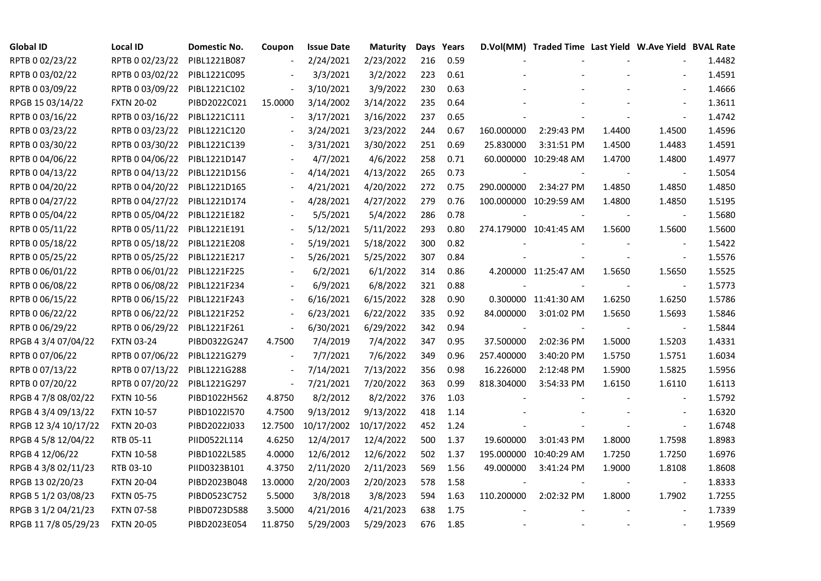| <b>Global ID</b>     | <b>Local ID</b>   | Domestic No. | Coupon                   | <b>Issue Date</b> | Maturity   |     | Days Years |                | D.Vol(MM) Traded Time Last Yield W.Ave Yield BVAL Rate |        |                          |        |
|----------------------|-------------------|--------------|--------------------------|-------------------|------------|-----|------------|----------------|--------------------------------------------------------|--------|--------------------------|--------|
| RPTB 0 02/23/22      | RPTB 0 02/23/22   | PIBL1221B087 |                          | 2/24/2021         | 2/23/2022  | 216 | 0.59       |                |                                                        |        |                          | 1.4482 |
| RPTB 0 03/02/22      | RPTB 0 03/02/22   | PIBL1221C095 |                          | 3/3/2021          | 3/2/2022   | 223 | 0.61       |                |                                                        |        |                          | 1.4591 |
| RPTB 0 03/09/22      | RPTB 0 03/09/22   | PIBL1221C102 | $\overline{\phantom{a}}$ | 3/10/2021         | 3/9/2022   | 230 | 0.63       |                |                                                        |        |                          | 1.4666 |
| RPGB 15 03/14/22     | <b>FXTN 20-02</b> | PIBD2022C021 | 15.0000                  | 3/14/2002         | 3/14/2022  | 235 | 0.64       |                |                                                        |        | $\overline{a}$           | 1.3611 |
| RPTB 0 03/16/22      | RPTB 0 03/16/22   | PIBL1221C111 | $\overline{\phantom{a}}$ | 3/17/2021         | 3/16/2022  | 237 | 0.65       |                |                                                        |        |                          | 1.4742 |
| RPTB 0 03/23/22      | RPTB 0 03/23/22   | PIBL1221C120 |                          | 3/24/2021         | 3/23/2022  | 244 | 0.67       | 160.000000     | 2:29:43 PM                                             | 1.4400 | 1.4500                   | 1.4596 |
| RPTB 0 03/30/22      | RPTB 0 03/30/22   | PIBL1221C139 |                          | 3/31/2021         | 3/30/2022  | 251 | 0.69       | 25.830000      | 3:31:51 PM                                             | 1.4500 | 1.4483                   | 1.4591 |
| RPTB 0 04/06/22      | RPTB 0 04/06/22   | PIBL1221D147 |                          | 4/7/2021          | 4/6/2022   | 258 | 0.71       |                | 60.000000 10:29:48 AM                                  | 1.4700 | 1.4800                   | 1.4977 |
| RPTB 0 04/13/22      | RPTB 0 04/13/22   | PIBL1221D156 |                          | 4/14/2021         | 4/13/2022  | 265 | 0.73       |                |                                                        |        |                          | 1.5054 |
| RPTB 0 04/20/22      | RPTB 0 04/20/22   | PIBL1221D165 | $\overline{\phantom{a}}$ | 4/21/2021         | 4/20/2022  | 272 | 0.75       | 290.000000     | 2:34:27 PM                                             | 1.4850 | 1.4850                   | 1.4850 |
| RPTB 0 04/27/22      | RPTB 0 04/27/22   | PIBL1221D174 | $\blacksquare$           | 4/28/2021         | 4/27/2022  | 279 | 0.76       |                | 100.000000 10:29:59 AM                                 | 1.4800 | 1.4850                   | 1.5195 |
| RPTB 0 05/04/22      | RPTB 0 05/04/22   | PIBL1221E182 |                          | 5/5/2021          | 5/4/2022   | 286 | 0.78       |                |                                                        |        | $\blacksquare$           | 1.5680 |
| RPTB 0 05/11/22      | RPTB 0 05/11/22   | PIBL1221E191 |                          | 5/12/2021         | 5/11/2022  | 293 | 0.80       |                | 274.179000 10:41:45 AM                                 | 1.5600 | 1.5600                   | 1.5600 |
| RPTB 0 05/18/22      | RPTB 0 05/18/22   | PIBL1221E208 |                          | 5/19/2021         | 5/18/2022  | 300 | 0.82       |                |                                                        |        | $\blacksquare$           | 1.5422 |
| RPTB 0 05/25/22      | RPTB 0 05/25/22   | PIBL1221E217 |                          | 5/26/2021         | 5/25/2022  | 307 | 0.84       |                |                                                        |        | $\blacksquare$           | 1.5576 |
| RPTB 0 06/01/22      | RPTB 0 06/01/22   | PIBL1221F225 |                          | 6/2/2021          | 6/1/2022   | 314 | 0.86       |                | 4.200000 11:25:47 AM                                   | 1.5650 | 1.5650                   | 1.5525 |
| RPTB 0 06/08/22      | RPTB 0 06/08/22   | PIBL1221F234 |                          | 6/9/2021          | 6/8/2022   | 321 | 0.88       |                |                                                        |        |                          | 1.5773 |
| RPTB 0 06/15/22      | RPTB 0 06/15/22   | PIBL1221F243 | $\overline{\phantom{a}}$ | 6/16/2021         | 6/15/2022  | 328 | 0.90       |                | 0.300000 11:41:30 AM                                   | 1.6250 | 1.6250                   | 1.5786 |
| RPTB 0 06/22/22      | RPTB 0 06/22/22   | PIBL1221F252 | $\blacksquare$           | 6/23/2021         | 6/22/2022  | 335 | 0.92       | 84.000000      | 3:01:02 PM                                             | 1.5650 | 1.5693                   | 1.5846 |
| RPTB 0 06/29/22      | RPTB 0 06/29/22   | PIBL1221F261 | $\Box$                   | 6/30/2021         | 6/29/2022  | 342 | 0.94       | $\blacksquare$ |                                                        |        |                          | 1.5844 |
| RPGB 4 3/4 07/04/22  | <b>FXTN 03-24</b> | PIBD0322G247 | 4.7500                   | 7/4/2019          | 7/4/2022   | 347 | 0.95       | 37.500000      | 2:02:36 PM                                             | 1.5000 | 1.5203                   | 1.4331 |
| RPTB 0 07/06/22      | RPTB 0 07/06/22   | PIBL1221G279 |                          | 7/7/2021          | 7/6/2022   | 349 | 0.96       | 257.400000     | 3:40:20 PM                                             | 1.5750 | 1.5751                   | 1.6034 |
| RPTB 0 07/13/22      | RPTB 0 07/13/22   | PIBL1221G288 |                          | 7/14/2021         | 7/13/2022  | 356 | 0.98       | 16.226000      | 2:12:48 PM                                             | 1.5900 | 1.5825                   | 1.5956 |
| RPTB 0 07/20/22      | RPTB 0 07/20/22   | PIBL1221G297 | $\blacksquare$           | 7/21/2021         | 7/20/2022  | 363 | 0.99       | 818.304000     | 3:54:33 PM                                             | 1.6150 | 1.6110                   | 1.6113 |
| RPGB 4 7/8 08/02/22  | <b>FXTN 10-56</b> | PIBD1022H562 | 4.8750                   | 8/2/2012          | 8/2/2022   | 376 | 1.03       |                |                                                        |        | $\overline{\phantom{a}}$ | 1.5792 |
| RPGB 4 3/4 09/13/22  | <b>FXTN 10-57</b> | PIBD1022I570 | 4.7500                   | 9/13/2012         | 9/13/2022  | 418 | 1.14       |                |                                                        |        |                          | 1.6320 |
| RPGB 12 3/4 10/17/22 | <b>FXTN 20-03</b> | PIBD2022J033 | 12.7500                  | 10/17/2002        | 10/17/2022 | 452 | 1.24       |                |                                                        |        | $\blacksquare$           | 1.6748 |
| RPGB 4 5/8 12/04/22  | RTB 05-11         | PIID0522L114 | 4.6250                   | 12/4/2017         | 12/4/2022  | 500 | 1.37       | 19.600000      | 3:01:43 PM                                             | 1.8000 | 1.7598                   | 1.8983 |
| RPGB 4 12/06/22      | <b>FXTN 10-58</b> | PIBD1022L585 | 4.0000                   | 12/6/2012         | 12/6/2022  | 502 | 1.37       |                | 195.000000 10:40:29 AM                                 | 1.7250 | 1.7250                   | 1.6976 |
| RPGB 4 3/8 02/11/23  | RTB 03-10         | PIID0323B101 | 4.3750                   | 2/11/2020         | 2/11/2023  | 569 | 1.56       | 49.000000      | 3:41:24 PM                                             | 1.9000 | 1.8108                   | 1.8608 |
| RPGB 13 02/20/23     | <b>FXTN 20-04</b> | PIBD2023B048 | 13.0000                  | 2/20/2003         | 2/20/2023  | 578 | 1.58       |                |                                                        |        |                          | 1.8333 |
| RPGB 5 1/2 03/08/23  | <b>FXTN 05-75</b> | PIBD0523C752 | 5.5000                   | 3/8/2018          | 3/8/2023   | 594 | 1.63       | 110.200000     | 2:02:32 PM                                             | 1.8000 | 1.7902                   | 1.7255 |
| RPGB 3 1/2 04/21/23  | <b>FXTN 07-58</b> | PIBD0723D588 | 3.5000                   | 4/21/2016         | 4/21/2023  | 638 | 1.75       |                |                                                        |        |                          | 1.7339 |
| RPGB 11 7/8 05/29/23 | <b>FXTN 20-05</b> | PIBD2023E054 | 11.8750                  | 5/29/2003         | 5/29/2023  | 676 | 1.85       |                |                                                        |        |                          | 1.9569 |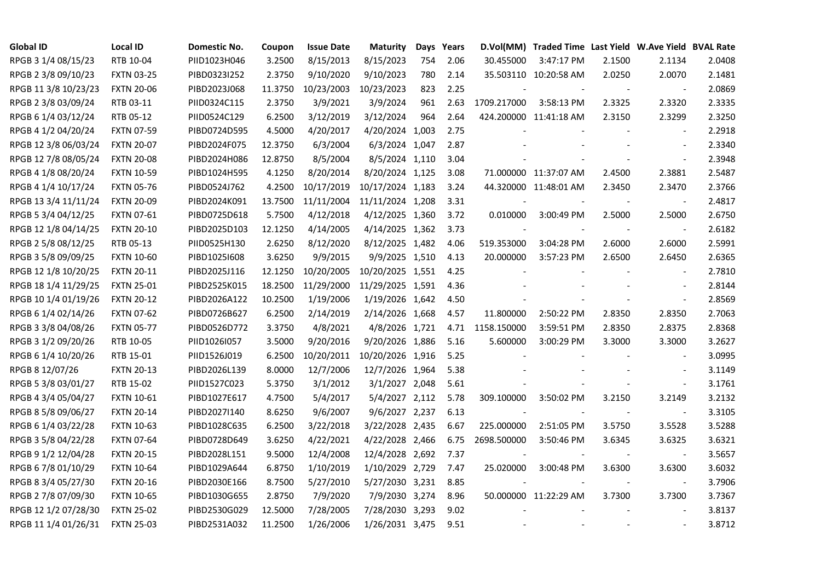| <b>Global ID</b>     | <b>Local ID</b>   | Domestic No. | Coupon  | <b>Issue Date</b> | <b>Maturity</b>  |     | Days Years |             | D.Vol(MM) Traded Time Last Yield W.Ave Yield BVAL Rate |        |                          |        |
|----------------------|-------------------|--------------|---------|-------------------|------------------|-----|------------|-------------|--------------------------------------------------------|--------|--------------------------|--------|
| RPGB 3 1/4 08/15/23  | RTB 10-04         | PIID1023H046 | 3.2500  | 8/15/2013         | 8/15/2023        | 754 | 2.06       | 30.455000   | 3:47:17 PM                                             | 2.1500 | 2.1134                   | 2.0408 |
| RPGB 2 3/8 09/10/23  | <b>FXTN 03-25</b> | PIBD0323I252 | 2.3750  | 9/10/2020         | 9/10/2023        | 780 | 2.14       |             | 35.503110 10:20:58 AM                                  | 2.0250 | 2.0070                   | 2.1481 |
| RPGB 11 3/8 10/23/23 | <b>FXTN 20-06</b> | PIBD2023J068 | 11.3750 | 10/23/2003        | 10/23/2023       | 823 | 2.25       |             |                                                        | $\sim$ | $\blacksquare$           | 2.0869 |
| RPGB 2 3/8 03/09/24  | RTB 03-11         | PIID0324C115 | 2.3750  | 3/9/2021          | 3/9/2024         | 961 | 2.63       | 1709.217000 | 3:58:13 PM                                             | 2.3325 | 2.3320                   | 2.3335 |
| RPGB 6 1/4 03/12/24  | RTB 05-12         | PIID0524C129 | 6.2500  | 3/12/2019         | 3/12/2024        | 964 | 2.64       |             | 424.200000 11:41:18 AM                                 | 2.3150 | 2.3299                   | 2.3250 |
| RPGB 4 1/2 04/20/24  | <b>FXTN 07-59</b> | PIBD0724D595 | 4.5000  | 4/20/2017         | 4/20/2024 1,003  |     | 2.75       |             |                                                        |        | $\blacksquare$           | 2.2918 |
| RPGB 12 3/8 06/03/24 | <b>FXTN 20-07</b> | PIBD2024F075 | 12.3750 | 6/3/2004          | 6/3/2024 1,047   |     | 2.87       |             |                                                        |        | $\blacksquare$           | 2.3340 |
| RPGB 12 7/8 08/05/24 | <b>FXTN 20-08</b> | PIBD2024H086 | 12.8750 | 8/5/2004          | 8/5/2024 1,110   |     | 3.04       |             |                                                        |        | $\sim$                   | 2.3948 |
| RPGB 4 1/8 08/20/24  | <b>FXTN 10-59</b> | PIBD1024H595 | 4.1250  | 8/20/2014         | 8/20/2024 1,125  |     | 3.08       |             | 71.000000 11:37:07 AM                                  | 2.4500 | 2.3881                   | 2.5487 |
| RPGB 4 1/4 10/17/24  | <b>FXTN 05-76</b> | PIBD0524J762 | 4.2500  | 10/17/2019        | 10/17/2024 1,183 |     | 3.24       |             | 44.320000 11:48:01 AM                                  | 2.3450 | 2.3470                   | 2.3766 |
| RPGB 13 3/4 11/11/24 | <b>FXTN 20-09</b> | PIBD2024K091 | 13.7500 | 11/11/2004        | 11/11/2024 1,208 |     | 3.31       |             |                                                        |        | $\blacksquare$           | 2.4817 |
| RPGB 5 3/4 04/12/25  | FXTN 07-61        | PIBD0725D618 | 5.7500  | 4/12/2018         | 4/12/2025 1,360  |     | 3.72       | 0.010000    | 3:00:49 PM                                             | 2.5000 | 2.5000                   | 2.6750 |
| RPGB 12 1/8 04/14/25 | <b>FXTN 20-10</b> | PIBD2025D103 | 12.1250 | 4/14/2005         | 4/14/2025 1,362  |     | 3.73       |             |                                                        |        | $\overline{\phantom{a}}$ | 2.6182 |
| RPGB 2 5/8 08/12/25  | RTB 05-13         | PIID0525H130 | 2.6250  | 8/12/2020         | 8/12/2025 1,482  |     | 4.06       | 519.353000  | 3:04:28 PM                                             | 2.6000 | 2.6000                   | 2.5991 |
| RPGB 3 5/8 09/09/25  | <b>FXTN 10-60</b> | PIBD10251608 | 3.6250  | 9/9/2015          | 9/9/2025 1,510   |     | 4.13       | 20.000000   | 3:57:23 PM                                             | 2.6500 | 2.6450                   | 2.6365 |
| RPGB 12 1/8 10/20/25 | <b>FXTN 20-11</b> | PIBD2025J116 | 12.1250 | 10/20/2005        | 10/20/2025 1,551 |     | 4.25       |             |                                                        |        |                          | 2.7810 |
| RPGB 18 1/4 11/29/25 | <b>FXTN 25-01</b> | PIBD2525K015 | 18.2500 | 11/29/2000        | 11/29/2025 1,591 |     | 4.36       |             |                                                        |        | $\overline{\phantom{a}}$ | 2.8144 |
| RPGB 10 1/4 01/19/26 | <b>FXTN 20-12</b> | PIBD2026A122 | 10.2500 | 1/19/2006         | 1/19/2026 1,642  |     | 4.50       |             |                                                        |        | $\blacksquare$           | 2.8569 |
| RPGB 6 1/4 02/14/26  | <b>FXTN 07-62</b> | PIBD0726B627 | 6.2500  | 2/14/2019         | 2/14/2026 1,668  |     | 4.57       | 11.800000   | 2:50:22 PM                                             | 2.8350 | 2.8350                   | 2.7063 |
| RPGB 3 3/8 04/08/26  | <b>FXTN 05-77</b> | PIBD0526D772 | 3.3750  | 4/8/2021          | 4/8/2026 1,721   |     | 4.71       | 1158.150000 | 3:59:51 PM                                             | 2.8350 | 2.8375                   | 2.8368 |
| RPGB 3 1/2 09/20/26  | RTB 10-05         | PIID1026I057 | 3.5000  | 9/20/2016         | 9/20/2026 1,886  |     | 5.16       | 5.600000    | 3:00:29 PM                                             | 3.3000 | 3.3000                   | 3.2627 |
| RPGB 6 1/4 10/20/26  | RTB 15-01         | PIID1526J019 | 6.2500  | 10/20/2011        | 10/20/2026 1,916 |     | 5.25       |             |                                                        |        | $\overline{\phantom{a}}$ | 3.0995 |
| RPGB 8 12/07/26      | <b>FXTN 20-13</b> | PIBD2026L139 | 8.0000  | 12/7/2006         | 12/7/2026 1,964  |     | 5.38       |             |                                                        |        | $\sim$                   | 3.1149 |
| RPGB 5 3/8 03/01/27  | RTB 15-02         | PIID1527C023 | 5.3750  | 3/1/2012          | 3/1/2027 2,048   |     | 5.61       |             |                                                        |        | $\blacksquare$           | 3.1761 |
| RPGB 4 3/4 05/04/27  | <b>FXTN 10-61</b> | PIBD1027E617 | 4.7500  | 5/4/2017          | 5/4/2027 2,112   |     | 5.78       | 309.100000  | 3:50:02 PM                                             | 3.2150 | 3.2149                   | 3.2132 |
| RPGB 8 5/8 09/06/27  | <b>FXTN 20-14</b> | PIBD2027I140 | 8.6250  | 9/6/2007          | 9/6/2027 2,237   |     | 6.13       |             |                                                        |        | $\blacksquare$           | 3.3105 |
| RPGB 6 1/4 03/22/28  | <b>FXTN 10-63</b> | PIBD1028C635 | 6.2500  | 3/22/2018         | 3/22/2028 2,435  |     | 6.67       | 225.000000  | 2:51:05 PM                                             | 3.5750 | 3.5528                   | 3.5288 |
| RPGB 3 5/8 04/22/28  | <b>FXTN 07-64</b> | PIBD0728D649 | 3.6250  | 4/22/2021         | 4/22/2028 2,466  |     | 6.75       | 2698.500000 | 3:50:46 PM                                             | 3.6345 | 3.6325                   | 3.6321 |
| RPGB 9 1/2 12/04/28  | <b>FXTN 20-15</b> | PIBD2028L151 | 9.5000  | 12/4/2008         | 12/4/2028 2,692  |     | 7.37       |             |                                                        |        | $\overline{\phantom{a}}$ | 3.5657 |
| RPGB 67/8 01/10/29   | <b>FXTN 10-64</b> | PIBD1029A644 | 6.8750  | 1/10/2019         | 1/10/2029 2,729  |     | 7.47       | 25.020000   | 3:00:48 PM                                             | 3.6300 | 3.6300                   | 3.6032 |
| RPGB 8 3/4 05/27/30  | <b>FXTN 20-16</b> | PIBD2030E166 | 8.7500  | 5/27/2010         | 5/27/2030 3,231  |     | 8.85       |             |                                                        |        | $\overline{\phantom{a}}$ | 3.7906 |
| RPGB 2 7/8 07/09/30  | <b>FXTN 10-65</b> | PIBD1030G655 | 2.8750  | 7/9/2020          | 7/9/2030 3,274   |     | 8.96       |             | 50.000000 11:22:29 AM                                  | 3.7300 | 3.7300                   | 3.7367 |
| RPGB 12 1/2 07/28/30 | <b>FXTN 25-02</b> | PIBD2530G029 | 12.5000 | 7/28/2005         | 7/28/2030 3,293  |     | 9.02       |             |                                                        |        | $\blacksquare$           | 3.8137 |
| RPGB 11 1/4 01/26/31 | <b>FXTN 25-03</b> | PIBD2531A032 | 11.2500 | 1/26/2006         | 1/26/2031 3,475  |     | 9.51       |             |                                                        | $\sim$ | $\sim$                   | 3.8712 |